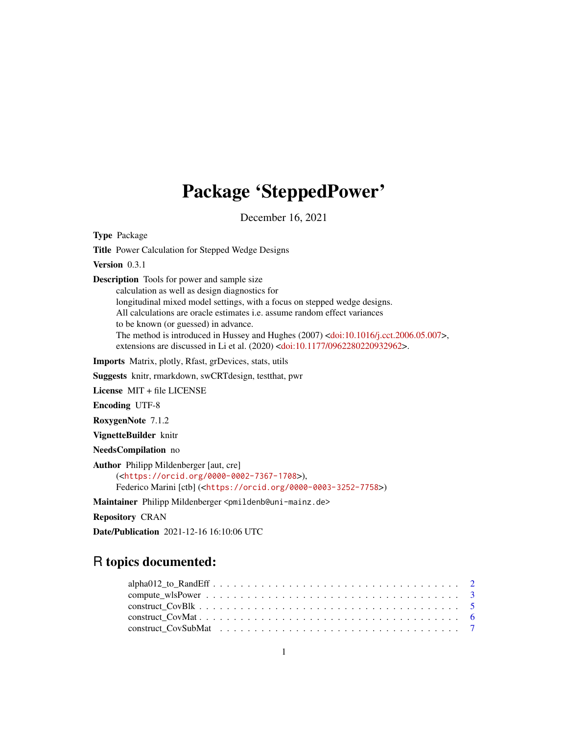# Package 'SteppedPower'

December 16, 2021

Type Package

Title Power Calculation for Stepped Wedge Designs

Version 0.3.1

Description Tools for power and sample size

calculation as well as design diagnostics for longitudinal mixed model settings, with a focus on stepped wedge designs. All calculations are oracle estimates i.e. assume random effect variances to be known (or guessed) in advance. The method is introduced in Hussey and Hughes (2007) [<doi:10.1016/j.cct.2006.05.007>](https://doi.org/10.1016/j.cct.2006.05.007), extensions are discussed in Li et al. (2020) [<doi:10.1177/0962280220932962>](https://doi.org/10.1177/0962280220932962).

Imports Matrix, plotly, Rfast, grDevices, stats, utils

Suggests knitr, rmarkdown, swCRTdesign, testthat, pwr

License MIT + file LICENSE

Encoding UTF-8

RoxygenNote 7.1.2

VignetteBuilder knitr

NeedsCompilation no

Author Philipp Mildenberger [aut, cre] (<<https://orcid.org/0000-0002-7367-1708>>), Federico Marini [ctb] (<<https://orcid.org/0000-0003-3252-7758>>)

Maintainer Philipp Mildenberger <pmildenb@uni-mainz.de>

Repository CRAN

Date/Publication 2021-12-16 16:10:06 UTC

# R topics documented: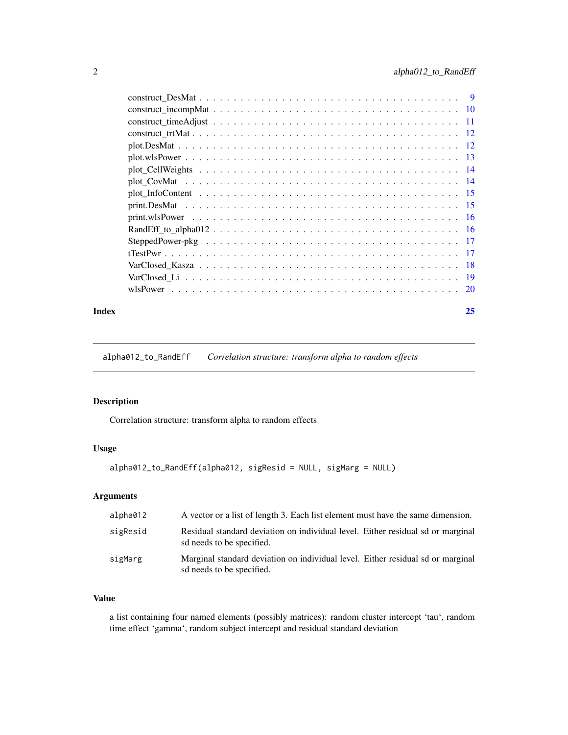<span id="page-1-0"></span>

| $-11$ |
|-------|
|       |
|       |
|       |
|       |
|       |
|       |
|       |
|       |
|       |
|       |
|       |
|       |
|       |
|       |
|       |

#### **Index** [25](#page-24-0)

alpha012\_to\_RandEff *Correlation structure: transform alpha to random effects*

# Description

Correlation structure: transform alpha to random effects

# Usage

```
alpha012_to_RandEff(alpha012, sigResid = NULL, sigMarg = NULL)
```
# Arguments

| alpha012 | A vector or a list of length 3. Each list element must have the same dimension.                              |
|----------|--------------------------------------------------------------------------------------------------------------|
| sigResid | Residual standard deviation on individual level. Either residual sd or marginal<br>sd needs to be specified. |
| sigMarg  | Marginal standard deviation on individual level. Either residual sd or marginal<br>sd needs to be specified. |

# Value

a list containing four named elements (possibly matrices): random cluster intercept 'tau', random time effect 'gamma', random subject intercept and residual standard deviation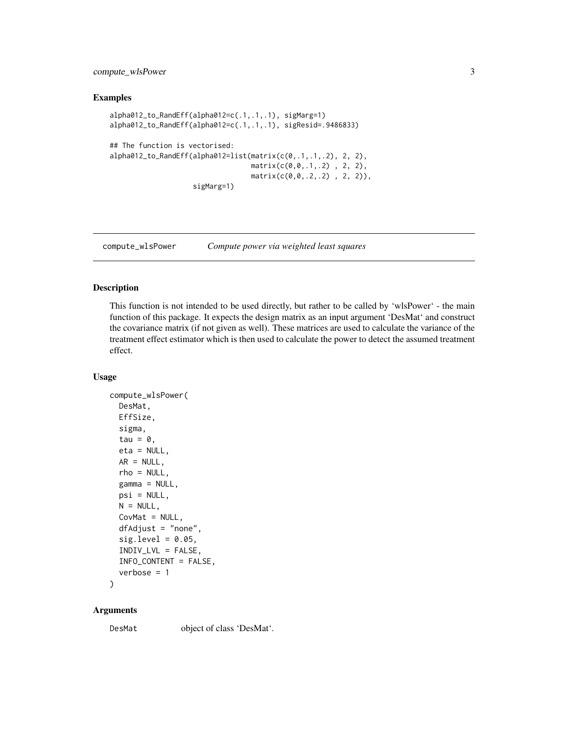<span id="page-2-0"></span>compute\_wlsPower 3

#### Examples

```
alpha012_to_RandEff(alpha012=c(.1,.1,.1), sigMarg=1)
alpha012_to_RandEff(alpha012=c(.1,.1,.1), sigResid=.9486833)
## The function is vectorised:
alpha012_to_RandEff(alpha012=list(matrix(c(0,.1,.1,.2), 2, 2),
                                  matrix(c(0,0,.1,.2), 2, 2),matrix(c(0,0,.2,.2) , 2, 2)),
                    sigMarg=1)
```
compute\_wlsPower *Compute power via weighted least squares*

#### Description

This function is not intended to be used directly, but rather to be called by 'wlsPower' - the main function of this package. It expects the design matrix as an input argument 'DesMat' and construct the covariance matrix (if not given as well). These matrices are used to calculate the variance of the treatment effect estimator which is then used to calculate the power to detect the assumed treatment effect.

#### Usage

```
compute_wlsPower(
 DesMat,
 EffSize,
  sigma,
  tau = \theta,
 eta = NULL,
 AR = NULL,rho = NULL,
  gamma = NULL,
 psi = NULL,
 N = NULL,CovMat = NULL,
  dfAdjust = "none",
  sig. level = 0.05,
  INDIV_LVL = FALSE,
  INFO_CONTENT = FALSE,
  verbose = 1)
```
#### Arguments

DesMat object of class 'DesMat'.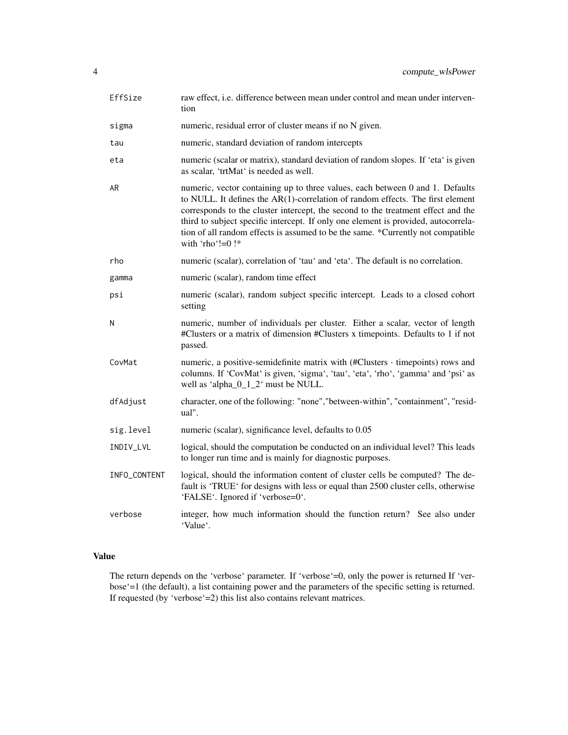| EffSize      | raw effect, i.e. difference between mean under control and mean under interven-<br>tion                                                                                                                                                                                                                                                                                                                                                             |
|--------------|-----------------------------------------------------------------------------------------------------------------------------------------------------------------------------------------------------------------------------------------------------------------------------------------------------------------------------------------------------------------------------------------------------------------------------------------------------|
| sigma        | numeric, residual error of cluster means if no N given.                                                                                                                                                                                                                                                                                                                                                                                             |
| tau          | numeric, standard deviation of random intercepts                                                                                                                                                                                                                                                                                                                                                                                                    |
| eta          | numeric (scalar or matrix), standard deviation of random slopes. If 'eta' is given<br>as scalar, 'trtMat' is needed as well.                                                                                                                                                                                                                                                                                                                        |
| AR           | numeric, vector containing up to three values, each between 0 and 1. Defaults<br>to NULL. It defines the AR(1)-correlation of random effects. The first element<br>corresponds to the cluster intercept, the second to the treatment effect and the<br>third to subject specific intercept. If only one element is provided, autocorrela-<br>tion of all random effects is assumed to be the same. *Currently not compatible<br>with 'rho'!= $0!$ * |
| rho          | numeric (scalar), correlation of 'tau' and 'eta'. The default is no correlation.                                                                                                                                                                                                                                                                                                                                                                    |
| gamma        | numeric (scalar), random time effect                                                                                                                                                                                                                                                                                                                                                                                                                |
| psi          | numeric (scalar), random subject specific intercept. Leads to a closed cohort<br>setting                                                                                                                                                                                                                                                                                                                                                            |
| N            | numeric, number of individuals per cluster. Either a scalar, vector of length<br>#Clusters or a matrix of dimension #Clusters x timepoints. Defaults to 1 if not<br>passed.                                                                                                                                                                                                                                                                         |
| CovMat       | numeric, a positive-semidefinite matrix with (#Clusters · timepoints) rows and<br>columns. If 'CovMat' is given, 'sigma', 'tau', 'eta', 'rho', 'gamma' and 'psi' as<br>well as 'alpha $\_0$ _1 $\_2$ ' must be NULL.                                                                                                                                                                                                                                |
| dfAdjust     | character, one of the following: "none", "between-within", "containment", "resid-<br>ual".                                                                                                                                                                                                                                                                                                                                                          |
| sig.level    | numeric (scalar), significance level, defaults to 0.05                                                                                                                                                                                                                                                                                                                                                                                              |
| INDIV_LVL    | logical, should the computation be conducted on an individual level? This leads<br>to longer run time and is mainly for diagnostic purposes.                                                                                                                                                                                                                                                                                                        |
| INFO_CONTENT | logical, should the information content of cluster cells be computed? The de-<br>fault is 'TRUE' for designs with less or equal than 2500 cluster cells, otherwise<br>'FALSE'. Ignored if 'verbose=0'.                                                                                                                                                                                                                                              |
| verbose      | integer, how much information should the function return? See also under<br>'Value'.                                                                                                                                                                                                                                                                                                                                                                |

The return depends on the 'verbose' parameter. If 'verbose'=0, only the power is returned If 'verbose'=1 (the default), a list containing power and the parameters of the specific setting is returned. If requested (by 'verbose'=2) this list also contains relevant matrices.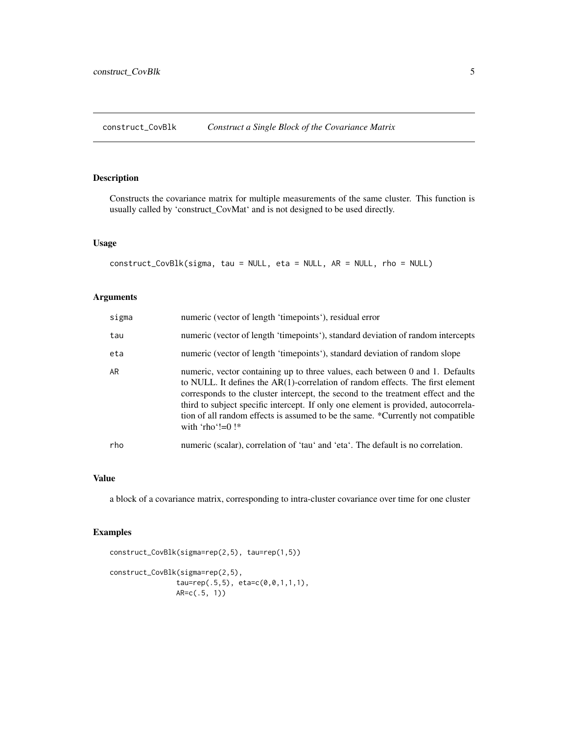<span id="page-4-0"></span>construct\_CovBlk *Construct a Single Block of the Covariance Matrix*

# Description

Constructs the covariance matrix for multiple measurements of the same cluster. This function is usually called by 'construct\_CovMat' and is not designed to be used directly.

# Usage

construct\_CovBlk(sigma, tau = NULL, eta = NULL, AR = NULL, rho = NULL)

# Arguments

| sigma | numeric (vector of length 'timepoints'), residual error                                                                                                                                                                                                                                                                                                                                                                                              |
|-------|------------------------------------------------------------------------------------------------------------------------------------------------------------------------------------------------------------------------------------------------------------------------------------------------------------------------------------------------------------------------------------------------------------------------------------------------------|
| tau   | numeric (vector of length 'timepoints'), standard deviation of random intercepts                                                                                                                                                                                                                                                                                                                                                                     |
| eta   | numeric (vector of length 'timepoints'), standard deviation of random slope                                                                                                                                                                                                                                                                                                                                                                          |
| AR    | numeric, vector containing up to three values, each between 0 and 1. Defaults<br>to NULL. It defines the $AR(1)$ -correlation of random effects. The first element<br>corresponds to the cluster intercept, the second to the treatment effect and the<br>third to subject specific intercept. If only one element is provided, autocorrela-<br>tion of all random effects is assumed to be the same. *Currently not compatible<br>with 'rho'!= $0!$ |
| rho   | numeric (scalar), correlation of 'tau' and 'eta'. The default is no correlation.                                                                                                                                                                                                                                                                                                                                                                     |

#### Value

a block of a covariance matrix, corresponding to intra-cluster covariance over time for one cluster

#### Examples

```
construct_CovBlk(sigma=rep(2,5), tau=rep(1,5))
construct_CovBlk(sigma=rep(2,5),
                tau=rep(.5,5), eta=c(0,0,1,1,1),
               AR=c(.5, 1))
```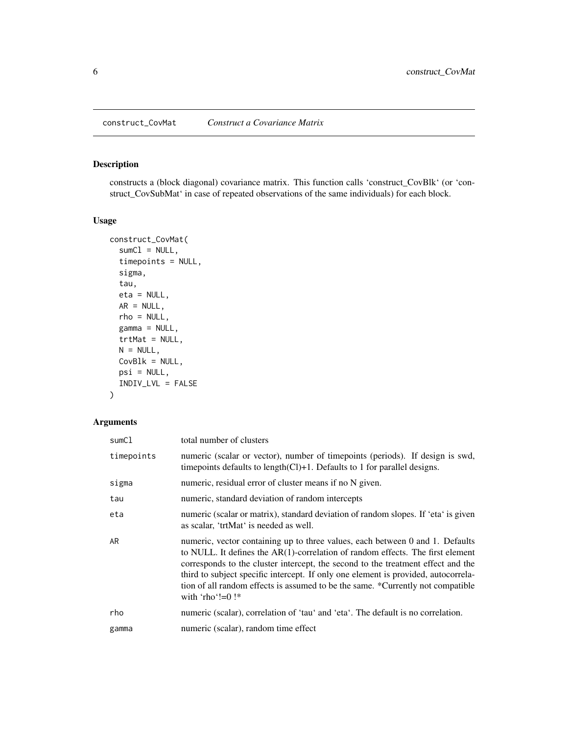<span id="page-5-0"></span>construct\_CovMat *Construct a Covariance Matrix*

# Description

constructs a (block diagonal) covariance matrix. This function calls 'construct\_CovBlk' (or 'construct\_CovSubMat' in case of repeated observations of the same individuals) for each block.

# Usage

```
construct_CovMat(
  sumC1 = NULL,timepoints = NULL,
  sigma,
  tau,
  eta = NULL,
 AR = NULL,rho = NULL,
  gamma = NULL,
  trtMat = NULL,
 N = NULL,CovBlk = NULL,
  psi = NULL,
  INDIV_LVL = FALSE
)
```

| sumCl      | total number of clusters                                                                                                                                                                                                                                                                                                                                                                                                                           |
|------------|----------------------------------------------------------------------------------------------------------------------------------------------------------------------------------------------------------------------------------------------------------------------------------------------------------------------------------------------------------------------------------------------------------------------------------------------------|
| timepoints | numeric (scalar or vector), number of timepoints (periods). If design is swd,<br>time points defaults to length $(Cl)+1$ . Defaults to 1 for parallel designs.                                                                                                                                                                                                                                                                                     |
| sigma      | numeric, residual error of cluster means if no N given.                                                                                                                                                                                                                                                                                                                                                                                            |
| tau        | numeric, standard deviation of random intercepts                                                                                                                                                                                                                                                                                                                                                                                                   |
| eta        | numeric (scalar or matrix), standard deviation of random slopes. If 'eta' is given<br>as scalar, 'trtMat' is needed as well.                                                                                                                                                                                                                                                                                                                       |
| AR.        | numeric, vector containing up to three values, each between 0 and 1. Defaults<br>to NULL. It defines the AR(1)-correlation of random effects. The first element<br>corresponds to the cluster intercept, the second to the treatment effect and the<br>third to subject specific intercept. If only one element is provided, autocorrela-<br>tion of all random effects is assumed to be the same. *Currently not compatible<br>with 'rho'!=0! $*$ |
| rho        | numeric (scalar), correlation of 'tau' and 'eta'. The default is no correlation.                                                                                                                                                                                                                                                                                                                                                                   |
| gamma      | numeric (scalar), random time effect                                                                                                                                                                                                                                                                                                                                                                                                               |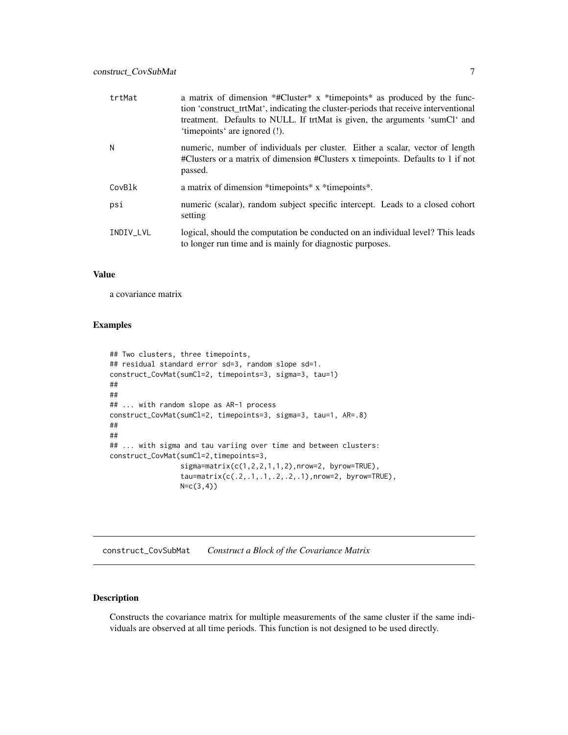<span id="page-6-0"></span>

| trtMat    | a matrix of dimension *#Cluster* x *timepoints* as produced by the func-<br>tion 'construct_trtMat', indicating the cluster-periods that receive interventional<br>treatment. Defaults to NULL. If trtMat is given, the arguments 'sumCl' and<br>'time points' are ignored (!). |
|-----------|---------------------------------------------------------------------------------------------------------------------------------------------------------------------------------------------------------------------------------------------------------------------------------|
| N         | numeric, number of individuals per cluster. Either a scalar, vector of length<br>#Clusters or a matrix of dimension #Clusters x timepoints. Defaults to 1 if not<br>passed.                                                                                                     |
| CovBlk    | a matrix of dimension *timepoints * x *timepoints *.                                                                                                                                                                                                                            |
| psi       | numeric (scalar), random subject specific intercept. Leads to a closed cohort<br>setting                                                                                                                                                                                        |
| INDIV_LVL | logical, should the computation be conducted on an individual level? This leads<br>to longer run time and is mainly for diagnostic purposes.                                                                                                                                    |

a covariance matrix

#### Examples

```
## Two clusters, three timepoints,
## residual standard error sd=3, random slope sd=1.
construct_CovMat(sumCl=2, timepoints=3, sigma=3, tau=1)
##
##
## ... with random slope as AR-1 process
construct_CovMat(sumCl=2, timepoints=3, sigma=3, tau=1, AR=.8)
##
##
## ... with sigma and tau variing over time and between clusters:
construct_CovMat(sumCl=2,timepoints=3,
                 signa=matrix(c(1,2,2,1,1,2),nrow=2, byrow=TRUE),tau=matrix(c(.2,.1,.1,.2,.2,.1),nrow=2, byrow=TRUE),
                 N=c(3,4))
```
construct\_CovSubMat *Construct a Block of the Covariance Matrix*

#### Description

Constructs the covariance matrix for multiple measurements of the same cluster if the same individuals are observed at all time periods. This function is not designed to be used directly.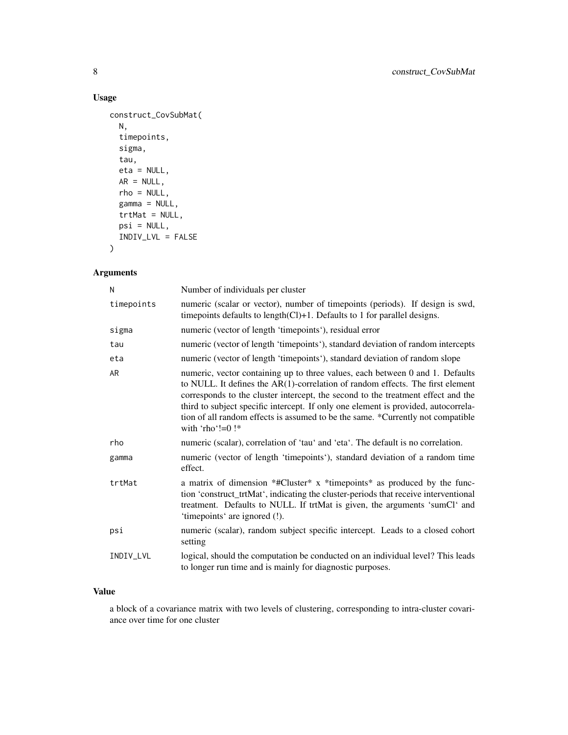# Usage

```
construct_CovSubMat(
 N,
  timepoints,
 sigma,
 tau,
 eta = NULL,
 AR = NULL,rho = NULL,
 gamma = NULL,
  trtMat = NULL,
 psi = NULL,
  INDIV_LVL = FALSE
\mathcal{L}
```
# Arguments

| N          | Number of individuals per cluster                                                                                                                                                                                                                                                                                                                                                                                                                   |
|------------|-----------------------------------------------------------------------------------------------------------------------------------------------------------------------------------------------------------------------------------------------------------------------------------------------------------------------------------------------------------------------------------------------------------------------------------------------------|
| timepoints | numeric (scalar or vector), number of timepoints (periods). If design is swd,<br>time points defaults to length $(Cl)+1$ . Defaults to 1 for parallel designs.                                                                                                                                                                                                                                                                                      |
| sigma      | numeric (vector of length 'timepoints'), residual error                                                                                                                                                                                                                                                                                                                                                                                             |
| tau        | numeric (vector of length 'timepoints'), standard deviation of random intercepts                                                                                                                                                                                                                                                                                                                                                                    |
| eta        | numeric (vector of length 'timepoints'), standard deviation of random slope                                                                                                                                                                                                                                                                                                                                                                         |
| AR         | numeric, vector containing up to three values, each between 0 and 1. Defaults<br>to NULL. It defines the AR(1)-correlation of random effects. The first element<br>corresponds to the cluster intercept, the second to the treatment effect and the<br>third to subject specific intercept. If only one element is provided, autocorrela-<br>tion of all random effects is assumed to be the same. *Currently not compatible<br>with 'rho'!= $0$ !* |
| rho        | numeric (scalar), correlation of 'tau' and 'eta'. The default is no correlation.                                                                                                                                                                                                                                                                                                                                                                    |
| gamma      | numeric (vector of length 'timepoints'), standard deviation of a random time<br>effect.                                                                                                                                                                                                                                                                                                                                                             |
| trtMat     | a matrix of dimension *#Cluster* x *timepoints* as produced by the func-<br>tion 'construct_trtMat', indicating the cluster-periods that receive interventional<br>treatment. Defaults to NULL. If trtMat is given, the arguments 'sumCl' and<br>'timepoints' are ignored (!).                                                                                                                                                                      |
| psi        | numeric (scalar), random subject specific intercept. Leads to a closed cohort<br>setting                                                                                                                                                                                                                                                                                                                                                            |
| INDIV_LVL  | logical, should the computation be conducted on an individual level? This leads<br>to longer run time and is mainly for diagnostic purposes.                                                                                                                                                                                                                                                                                                        |

#### Value

a block of a covariance matrix with two levels of clustering, corresponding to intra-cluster covariance over time for one cluster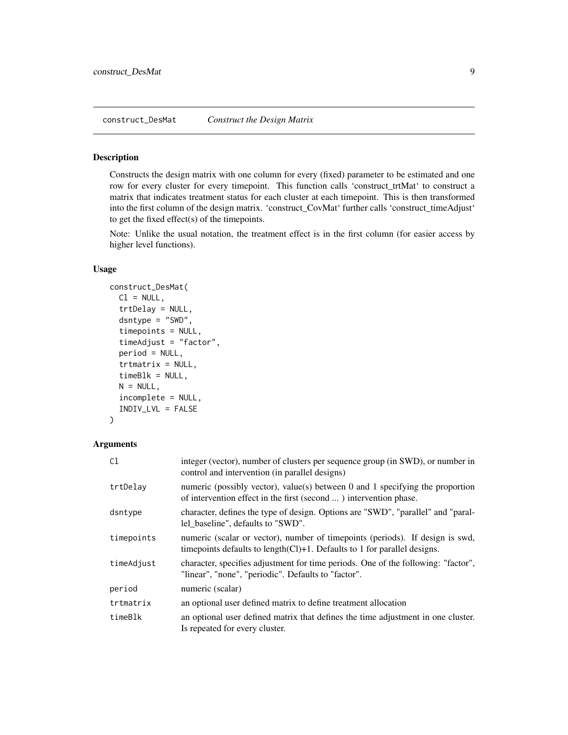<span id="page-8-0"></span>construct\_DesMat *Construct the Design Matrix*

# Description

Constructs the design matrix with one column for every (fixed) parameter to be estimated and one row for every cluster for every timepoint. This function calls 'construct\_trtMat' to construct a matrix that indicates treatment status for each cluster at each timepoint. This is then transformed into the first column of the design matrix. 'construct\_CovMat' further calls 'construct\_timeAdjust' to get the fixed effect(s) of the timepoints.

Note: Unlike the usual notation, the treatment effect is in the first column (for easier access by higher level functions).

#### Usage

```
construct_DesMat(
  Cl = NULL,trtDelay = NULL,
  dsntype = "SWD",
  timepoints = NULL,
  timeAdjust = "factor",
  period = NULL,
  trtmatrix = NULL,
  timeB1k = NULL,N = NULL,incomplete = NULL,
  INDIV_LVL = FALSE
\lambda
```

| C1         | integer (vector), number of clusters per sequence group (in SWD), or number in<br>control and intervention (in parallel designs)                               |
|------------|----------------------------------------------------------------------------------------------------------------------------------------------------------------|
| trtDelay   | numeric (possibly vector), value(s) between 0 and 1 specifying the proportion<br>of intervention effect in the first (second ) intervention phase.             |
| dsntype    | character, defines the type of design. Options are "SWD", "parallel" and "paral-<br>lel_baseline", defaults to "SWD".                                          |
| timepoints | numeric (scalar or vector), number of timepoints (periods). If design is swd,<br>time points defaults to length $(Cl)+1$ . Defaults to 1 for parallel designs. |
| timeAdjust | character, specifies adjustment for time periods. One of the following: "factor",<br>"linear", "none", "periodic". Defaults to "factor".                       |
| period     | numeric (scalar)                                                                                                                                               |
| trtmatrix  | an optional user defined matrix to define treatment allocation                                                                                                 |
| timeBlk    | an optional user defined matrix that defines the time adjustment in one cluster.<br>Is repeated for every cluster.                                             |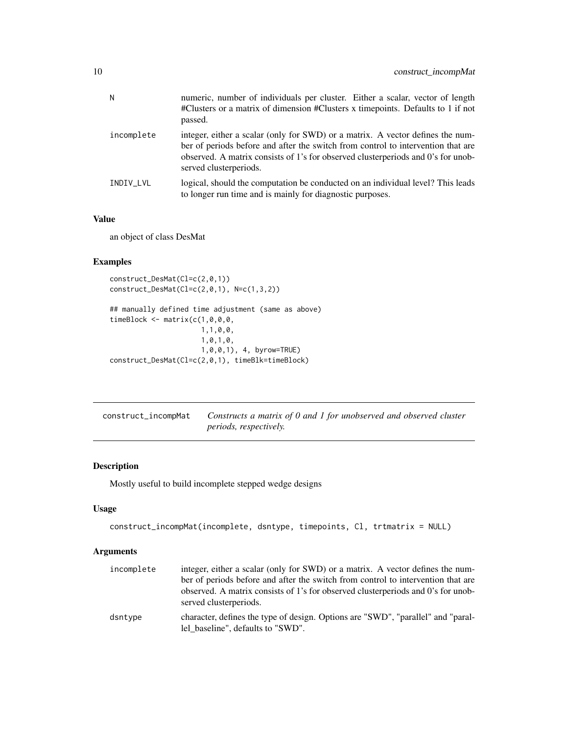<span id="page-9-0"></span>

| N          | numeric, number of individuals per cluster. Either a scalar, vector of length<br>#Clusters or a matrix of dimension #Clusters x timepoints. Defaults to 1 if not<br>passed.                                                                                                      |
|------------|----------------------------------------------------------------------------------------------------------------------------------------------------------------------------------------------------------------------------------------------------------------------------------|
| incomplete | integer, either a scalar (only for SWD) or a matrix. A vector defines the num-<br>ber of periods before and after the switch from control to intervention that are<br>observed. A matrix consists of 1's for observed clusterperiods and 0's for unob-<br>served clusterperiods. |
| INDIV LVL  | logical, should the computation be conducted on an individual level? This leads<br>to longer run time and is mainly for diagnostic purposes.                                                                                                                                     |

an object of class DesMat

# Examples

```
construct_DesMat(Cl=c(2,0,1))
construct_DesMat(Cl=c(2,0,1), N=c(1,3,2))
## manually defined time adjustment (same as above)
timeBlock <- matrix(c(1,0,0,0,
                      1,1,0,0,
                      1,0,1,0,
                      1,0,0,1), 4, byrow=TRUE)
construct_DesMat(Cl=c(2,0,1), timeBlk=timeBlock)
```

| construct_incompMat | Constructs a matrix of 0 and 1 for unobserved and observed cluster |
|---------------------|--------------------------------------------------------------------|
|                     | <i>periods, respectively.</i>                                      |

# Description

Mostly useful to build incomplete stepped wedge designs

#### Usage

```
construct_incompMat(incomplete, dsntype, timepoints, Cl, trtmatrix = NULL)
```

| incomplete | integer, either a scalar (only for SWD) or a matrix. A vector defines the num-<br>ber of periods before and after the switch from control to intervention that are<br>observed. A matrix consists of 1's for observed clusterperiods and 0's for unob-<br>served clusterperiods. |
|------------|----------------------------------------------------------------------------------------------------------------------------------------------------------------------------------------------------------------------------------------------------------------------------------|
| dsntype    | character, defines the type of design. Options are "SWD", "parallel" and "paral-<br>lel baseline", defaults to "SWD".                                                                                                                                                            |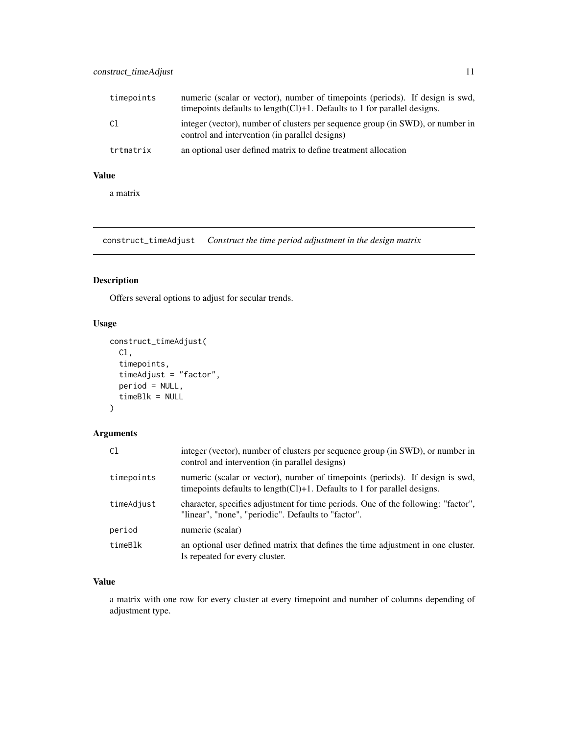<span id="page-10-0"></span>

| timepoints | numeric (scalar or vector), number of timepoints (periods). If design is swd,<br>time points defaults to length $(Cl)+1$ . Defaults to 1 for parallel designs. |
|------------|----------------------------------------------------------------------------------------------------------------------------------------------------------------|
| C1         | integer (vector), number of clusters per sequence group (in SWD), or number in<br>control and intervention (in parallel designs)                               |
| trtmatrix  | an optional user defined matrix to define treatment allocation                                                                                                 |

a matrix

construct\_timeAdjust *Construct the time period adjustment in the design matrix*

# Description

Offers several options to adjust for secular trends.

# Usage

```
construct_timeAdjust(
  Cl,
  timepoints,
  timeAdjust = "factor",
 period = NULL,
  timeBlk = NULL
)
```
# Arguments

| C1         | integer (vector), number of clusters per sequence group (in SWD), or number in<br>control and intervention (in parallel designs)                               |
|------------|----------------------------------------------------------------------------------------------------------------------------------------------------------------|
| timepoints | numeric (scalar or vector), number of timepoints (periods). If design is swd,<br>time points defaults to length $(Cl)+1$ . Defaults to 1 for parallel designs. |
| timeAdjust | character, specifies adjustment for time periods. One of the following: "factor",<br>"linear", "none", "periodic". Defaults to "factor".                       |
| period     | numeric (scalar)                                                                                                                                               |
| timeBlk    | an optional user defined matrix that defines the time adjustment in one cluster.<br>Is repeated for every cluster.                                             |

# Value

a matrix with one row for every cluster at every timepoint and number of columns depending of adjustment type.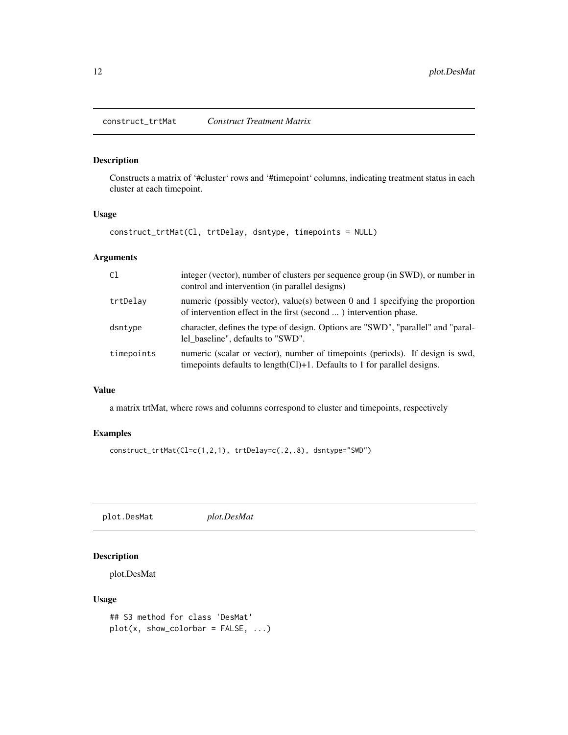<span id="page-11-0"></span>construct\_trtMat *Construct Treatment Matrix*

# Description

Constructs a matrix of '#cluster' rows and '#timepoint' columns, indicating treatment status in each cluster at each timepoint.

# Usage

construct\_trtMat(Cl, trtDelay, dsntype, timepoints = NULL)

# Arguments

| C <sub>1</sub> | integer (vector), number of clusters per sequence group (in SWD), or number in<br>control and intervention (in parallel designs)                               |
|----------------|----------------------------------------------------------------------------------------------------------------------------------------------------------------|
| trtDelay       | numeric (possibly vector), value(s) between 0 and 1 specifying the proportion<br>of intervention effect in the first (second ) intervention phase.             |
| dsntype        | character, defines the type of design. Options are "SWD", "parallel" and "paral-<br>lel baseline", defaults to "SWD".                                          |
| timepoints     | numeric (scalar or vector), number of timepoints (periods). If design is swd,<br>time points defaults to length $(Cl)+1$ . Defaults to 1 for parallel designs. |

# Value

a matrix trtMat, where rows and columns correspond to cluster and timepoints, respectively

# Examples

```
construct_trtMat(Cl=c(1,2,1), trtDelay=c(.2,.8), dsntype="SWD")
```
plot.DesMat *plot.DesMat*

# Description

plot.DesMat

#### Usage

```
## S3 method for class 'DesMat'
plot(x, show\_colorbar = FALSE, ...)
```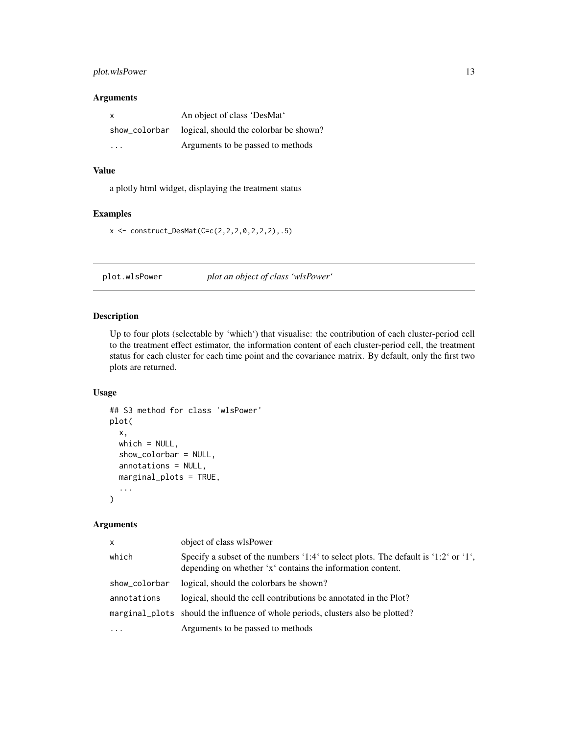# <span id="page-12-0"></span>plot.wlsPower 13

#### Arguments

| X             | An object of class 'DesMat'            |
|---------------|----------------------------------------|
| show_colorbar | logical, should the colorbar be shown? |
| .             | Arguments to be passed to methods      |

#### Value

a plotly html widget, displaying the treatment status

# Examples

```
x \le - construct_DesMat(C=c(2,2,2,0,2,2,2),.5)
```
plot.wlsPower *plot an object of class 'wlsPower'*

# Description

Up to four plots (selectable by 'which') that visualise: the contribution of each cluster-period cell to the treatment effect estimator, the information content of each cluster-period cell, the treatment status for each cluster for each time point and the covariance matrix. By default, only the first two plots are returned.

# Usage

```
## S3 method for class 'wlsPower'
plot(
  x,
  which = NULL,
  show_colorbar = NULL,
  annotations = NULL,
  marginal_plots = TRUE,
  ...
)
```

| $\mathsf{x}$  | object of class wlsPower                                                                                                                          |
|---------------|---------------------------------------------------------------------------------------------------------------------------------------------------|
| which         | Specify a subset of the numbers '1:4' to select plots. The default is '1:2' or '1',<br>depending on whether 'x' contains the information content. |
| show_colorbar | logical, should the colorbars be shown?                                                                                                           |
| annotations   | logical, should the cell contributions be annotated in the Plot?                                                                                  |
|               | marginal_plots should the influence of whole periods, clusters also be plotted?                                                                   |
| $\cdot$       | Arguments to be passed to methods                                                                                                                 |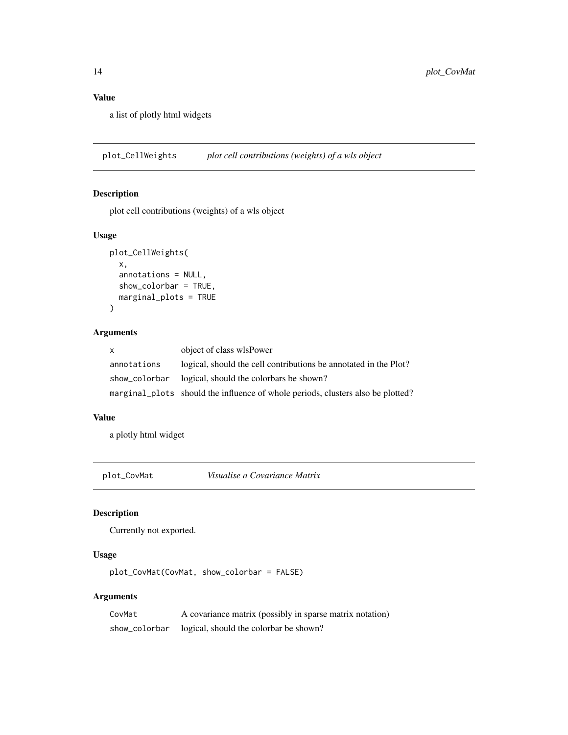a list of plotly html widgets

plot\_CellWeights *plot cell contributions (weights) of a wls object*

#### Description

plot cell contributions (weights) of a wls object

#### Usage

```
plot_CellWeights(
  x,
  annotations = NULL,
  show_colorbar = TRUE,
  marginal_plots = TRUE
\mathcal{L}
```
#### Arguments

| X           | object of class wlsPower                                                        |
|-------------|---------------------------------------------------------------------------------|
| annotations | logical, should the cell contributions be annotated in the Plot?                |
|             | show_colorbar logical, should the colorbars be shown?                           |
|             | marginal plots should the influence of whole periods, clusters also be plotted? |

# Value

a plotly html widget

plot\_CovMat *Visualise a Covariance Matrix*

# Description

Currently not exported.

# Usage

plot\_CovMat(CovMat, show\_colorbar = FALSE)

| CovMat        | A covariance matrix (possibly in sparse matrix notation) |
|---------------|----------------------------------------------------------|
| show_colorbar | logical, should the colorbar be shown?                   |

<span id="page-13-0"></span>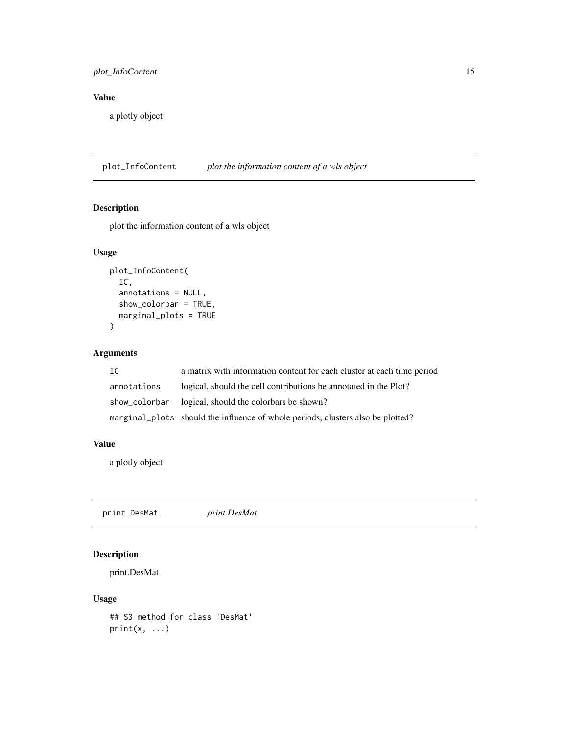# <span id="page-14-0"></span>plot\_InfoContent 15

# Value

a plotly object

plot\_InfoContent *plot the information content of a wls object*

# Description

plot the information content of a wls object

# Usage

```
plot_InfoContent(
  IC,
  annotations = NULL,
  show_colorbar = TRUE,
 marginal_plots = TRUE
)
```
# Arguments

| IC          | a matrix with information content for each cluster at each time period          |
|-------------|---------------------------------------------------------------------------------|
| annotations | logical, should the cell contributions be annotated in the Plot?                |
|             | show_colorbar logical, should the colorbars be shown?                           |
|             | marginal plots should the influence of whole periods, clusters also be plotted? |

# Value

a plotly object

print.DesMat *print.DesMat*

# Description

print.DesMat

#### Usage

```
## S3 method for class 'DesMat'
print(x, \ldots)
```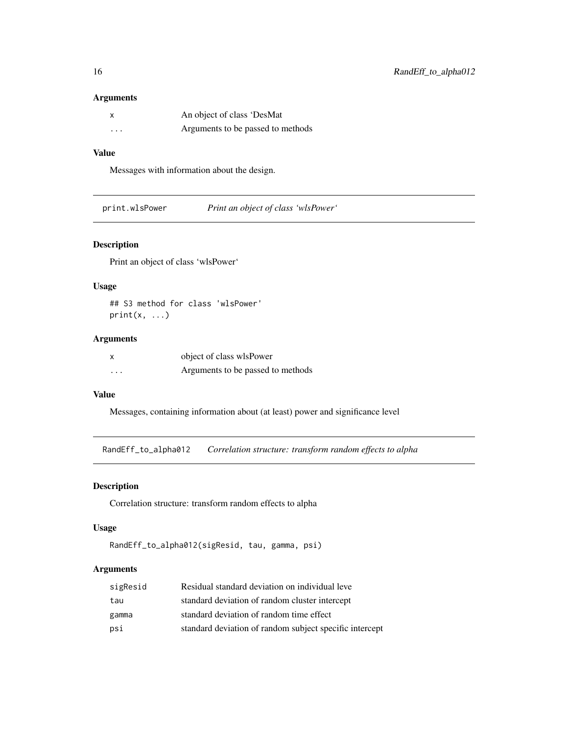#### Arguments

|          | An object of class 'DesMat        |
|----------|-----------------------------------|
| $\cdots$ | Arguments to be passed to methods |

# Value

Messages with information about the design.

print.wlsPower *Print an object of class 'wlsPower'*

# Description

Print an object of class 'wlsPower'

# Usage

## S3 method for class 'wlsPower'  $print(x, \ldots)$ 

# Arguments

| X        | object of class wlsPower          |
|----------|-----------------------------------|
| $\cdots$ | Arguments to be passed to methods |

#### Value

Messages, containing information about (at least) power and significance level

RandEff\_to\_alpha012 *Correlation structure: transform random effects to alpha*

# Description

Correlation structure: transform random effects to alpha

#### Usage

```
RandEff_to_alpha012(sigResid, tau, gamma, psi)
```

| sigResid | Residual standard deviation on individual leve          |
|----------|---------------------------------------------------------|
| tau      | standard deviation of random cluster intercept          |
| gamma    | standard deviation of random time effect                |
| psi      | standard deviation of random subject specific intercept |

<span id="page-15-0"></span>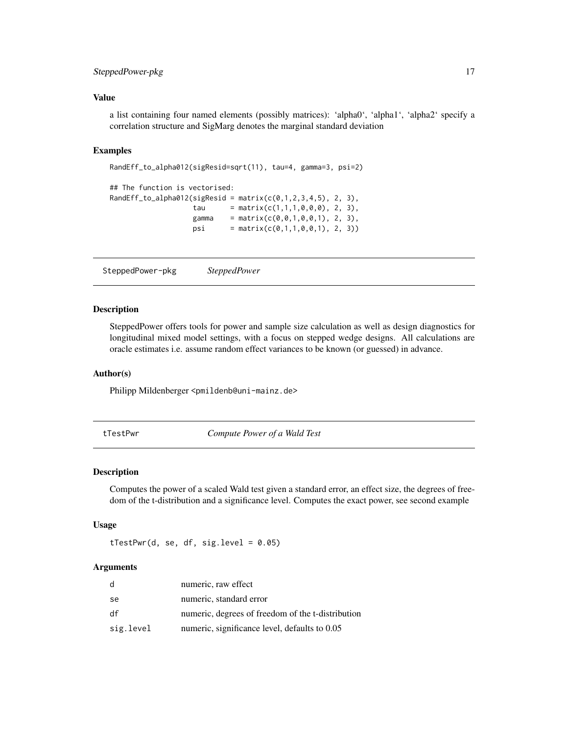# <span id="page-16-0"></span>SteppedPower-pkg 17

#### Value

a list containing four named elements (possibly matrices): 'alpha0', 'alpha1', 'alpha2' specify a correlation structure and SigMarg denotes the marginal standard deviation

#### Examples

```
RandEff_to_alpha012(sigResid=sqrt(11), tau=4, gamma=3, psi=2)
## The function is vectorised:
RandEff_to_alpha012(sigResid = matrix(c(0,1,2,3,4,5), 2, 3),
                   tau = matrix(c(1,1,1,0,0,0), 2, 3),
                   gamma = matrix(c(0,0,1,0,0,1), 2, 3),
                   psi = matrix(c(0,1,1,0,0,1), 2, 3))
```
SteppedPower-pkg *SteppedPower*

#### Description

SteppedPower offers tools for power and sample size calculation as well as design diagnostics for longitudinal mixed model settings, with a focus on stepped wedge designs. All calculations are oracle estimates i.e. assume random effect variances to be known (or guessed) in advance.

#### Author(s)

Philipp Mildenberger <pmildenb@uni-mainz.de>

tTestPwr *Compute Power of a Wald Test*

#### Description

Computes the power of a scaled Wald test given a standard error, an effect size, the degrees of freedom of the t-distribution and a significance level. Computes the exact power, see second example

#### Usage

 $tTestPwr(d, se, df, sig. level = 0.05)$ 

| d         | numeric, raw effect                               |
|-----------|---------------------------------------------------|
| -se       | numeric, standard error                           |
| df        | numeric, degrees of freedom of the t-distribution |
| sig.level | numeric, significance level, defaults to 0.05     |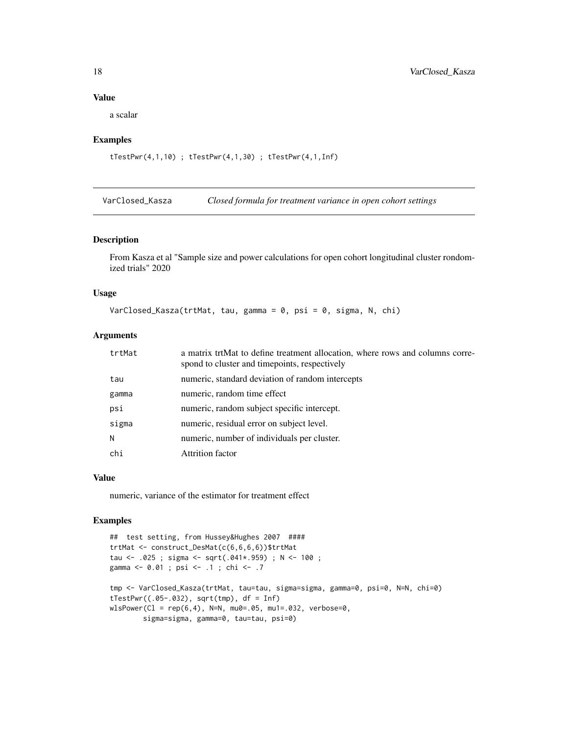a scalar

#### Examples

```
tTestPwr(4,1,10) ; tTestPwr(4,1,30) ; tTestPwr(4,1,Inf)
```
VarClosed\_Kasza *Closed formula for treatment variance in open cohort settings*

# Description

From Kasza et al "Sample size and power calculations for open cohort longitudinal cluster rondomized trials" 2020

#### Usage

VarClosed\_Kasza(trtMat, tau, gamma = 0, psi = 0, sigma, N, chi)

#### Arguments

| trtMat | a matrix trtMat to define treatment allocation, where rows and columns corre-<br>spond to cluster and timepoints, respectively |
|--------|--------------------------------------------------------------------------------------------------------------------------------|
| tau    | numeric, standard deviation of random intercepts                                                                               |
| gamma  | numeric, random time effect                                                                                                    |
| psi    | numeric, random subject specific intercept.                                                                                    |
| sigma  | numeric, residual error on subject level.                                                                                      |
| N      | numeric, number of individuals per cluster.                                                                                    |
| chi    | Attrition factor                                                                                                               |

#### Value

numeric, variance of the estimator for treatment effect

# Examples

```
## test setting, from Hussey&Hughes 2007 ####
trtMat <- construct_DesMat(c(6,6,6,6))$trtMat
tau <- .025 ; sigma <- sqrt(.041*.959) ; N <- 100 ;
gamma <- 0.01 ; psi <- .1 ; chi <- .7
tmp <- VarClosed_Kasza(trtMat, tau=tau, sigma=sigma, gamma=0, psi=0, N=N, chi=0)
tTestPwr((.05-.032), sqrttmp), df = Inf)wlsPower(C1 = rep(6, 4), N=N, mu0=.05, mu1=.032, verbose=0,sigma=sigma, gamma=0, tau=tau, psi=0)
```
<span id="page-17-0"></span>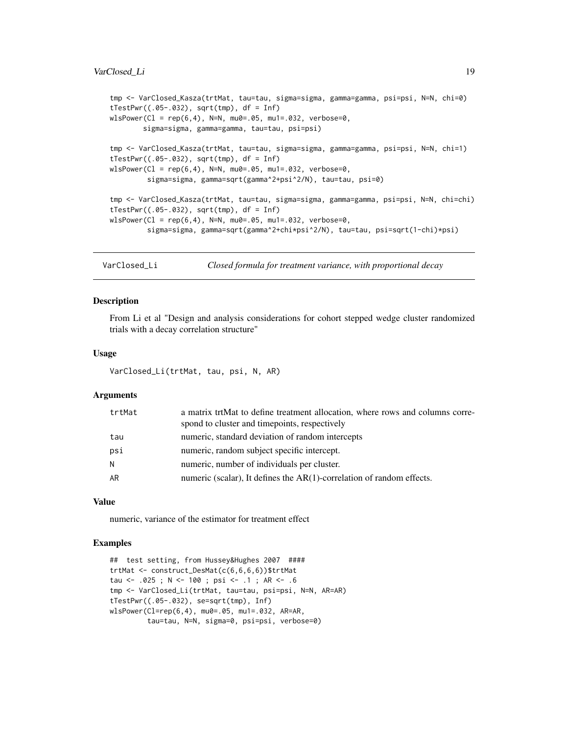#### <span id="page-18-0"></span>VarClosed Li 19

```
tmp <- VarClosed_Kasza(trtMat, tau=tau, sigma=sigma, gamma=gamma, psi=psi, N=N, chi=0)
tTestPwr((.05-.032), sqrttmp), df = Inf)wlsPower(C1 = rep(6, 4), N=N, mu0=.05, mu1=.032, verbose=0,sigma=sigma, gamma=gamma, tau=tau, psi=psi)
tmp <- VarClosed_Kasza(trtMat, tau=tau, sigma=sigma, gamma=gamma, psi=psi, N=N, chi=1)
tTestPwr((.05-.032), sqrttmp), df = Inf)wlsPower(C1 = rep(6, 4), N=N, mu0=.05, mu1=.032, verbose=0,sigma=sigma, gamma=sqrt(gamma^2+psi^2/N), tau=tau, psi=0)
tmp <- VarClosed_Kasza(trtMat, tau=tau, sigma=sigma, gamma=gamma, psi=psi, N=N, chi=chi)
tTestPwr((.05-.032), sqrt(tmp), df = Inf)
wlsPower(Cl = rep(6,4), N=N, mu0=.05, mu1=.032, verbose=0,
         sigma=sigma, gamma=sqrt(gamma^2+chi*psi^2/N), tau=tau, psi=sqrt(1-chi)*psi)
```
VarClosed\_Li *Closed formula for treatment variance, with proportional decay*

#### Description

From Li et al "Design and analysis considerations for cohort stepped wedge cluster randomized trials with a decay correlation structure"

#### Usage

VarClosed\_Li(trtMat, tau, psi, N, AR)

#### Arguments

| a matrix trtMat to define treatment allocation, where rows and columns corre-<br>spond to cluster and timepoints, respectively |
|--------------------------------------------------------------------------------------------------------------------------------|
| numeric, standard deviation of random intercepts                                                                               |
| numeric, random subject specific intercept.                                                                                    |
| numeric, number of individuals per cluster.                                                                                    |
| numeric (scalar), It defines the $AR(1)$ -correlation of random effects.                                                       |
|                                                                                                                                |

#### Value

numeric, variance of the estimator for treatment effect

#### Examples

```
## test setting, from Hussey&Hughes 2007 ####
trtMat <- construct_DesMat(c(6,6,6,6))$trtMat
tau <- .025 ; N <- 100 ; psi <- .1 ; AR <- .6
tmp <- VarClosed_Li(trtMat, tau=tau, psi=psi, N=N, AR=AR)
tTestPwr((.05-.032), se=sqrt(tmp), Inf)
wlsPower(Cl=rep(6,4), mu0=.05, mu1=.032, AR=AR,
         tau=tau, N=N, sigma=0, psi=psi, verbose=0)
```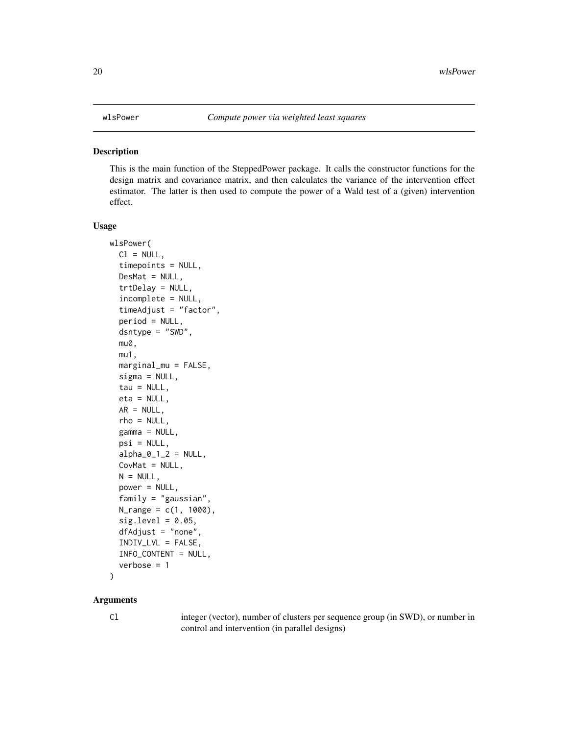#### <span id="page-19-0"></span>**Description**

This is the main function of the SteppedPower package. It calls the constructor functions for the design matrix and covariance matrix, and then calculates the variance of the intervention effect estimator. The latter is then used to compute the power of a Wald test of a (given) intervention effect.

#### Usage

```
wlsPower(
  Cl = NULL,timepoints = NULL,
  DesMat = NULL,
  trtDelay = NULL,
  incomplete = NULL,
  timeAdjust = "factor",
  period = NULL,
  dsntype = "SWD",
  mu0,
  mu1,
  marginal_mu = FALSE,
  signa = NULL,tau = NULL,eta = NULL,
  AR = NULL,rho = NULL,
  gamma = NULL,psi = NULL,alpha_0_1_2 = NULL,CovMat = NULL,N = NULL,power = NULL,family = "gaussian",
  N_{range} = c(1, 1000),
  sig. level = 0.05,dfAdjust = "none",
  INDIV_LVL = FALSE,
  INFO_CONTENT = NULL,
  verbose = 1
)
```
# Arguments

Cl integer (vector), number of clusters per sequence group (in SWD), or number in control and intervention (in parallel designs)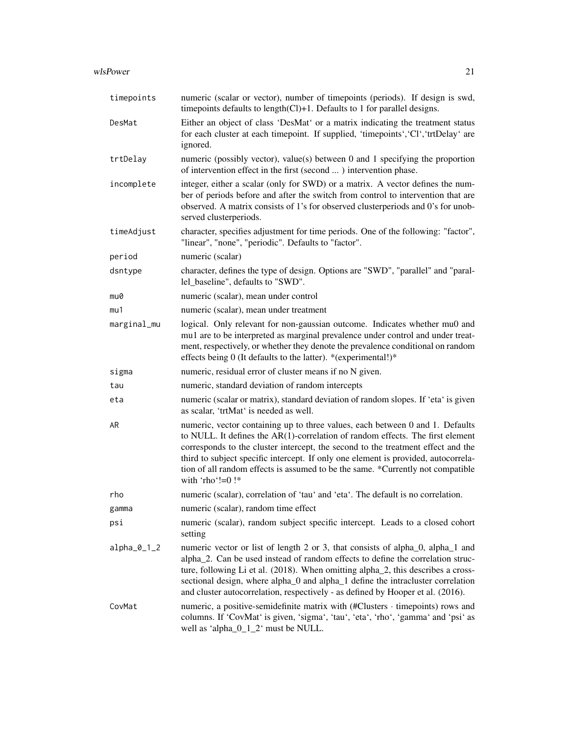#### wlsPower 21

| timepoints    | numeric (scalar or vector), number of timepoints (periods). If design is swd,<br>timepoints defaults to length(Cl)+1. Defaults to 1 for parallel designs.                                                                                                                                                                                                                                                                                           |
|---------------|-----------------------------------------------------------------------------------------------------------------------------------------------------------------------------------------------------------------------------------------------------------------------------------------------------------------------------------------------------------------------------------------------------------------------------------------------------|
| DesMat        | Either an object of class 'DesMat' or a matrix indicating the treatment status<br>for each cluster at each timepoint. If supplied, 'timepoints', 'Cl', 'trtDelay' are<br>ignored.                                                                                                                                                                                                                                                                   |
| trtDelay      | numeric (possibly vector), value(s) between $0$ and $1$ specifying the proportion<br>of intervention effect in the first (second ) intervention phase.                                                                                                                                                                                                                                                                                              |
| incomplete    | integer, either a scalar (only for SWD) or a matrix. A vector defines the num-<br>ber of periods before and after the switch from control to intervention that are<br>observed. A matrix consists of 1's for observed clusterperiods and 0's for unob-<br>served clusterperiods.                                                                                                                                                                    |
| timeAdjust    | character, specifies adjustment for time periods. One of the following: "factor",<br>"linear", "none", "periodic". Defaults to "factor".                                                                                                                                                                                                                                                                                                            |
| period        | numeric (scalar)                                                                                                                                                                                                                                                                                                                                                                                                                                    |
| dsntype       | character, defines the type of design. Options are "SWD", "parallel" and "paral-<br>lel_baseline", defaults to "SWD".                                                                                                                                                                                                                                                                                                                               |
| mu0           | numeric (scalar), mean under control                                                                                                                                                                                                                                                                                                                                                                                                                |
| mu1           | numeric (scalar), mean under treatment                                                                                                                                                                                                                                                                                                                                                                                                              |
| marginal_mu   | logical. Only relevant for non-gaussian outcome. Indicates whether mu0 and<br>mu1 are to be interpreted as marginal prevalence under control and under treat-<br>ment, respectively, or whether they denote the prevalence conditional on random<br>effects being 0 (It defaults to the latter). *(experimental!)*                                                                                                                                  |
| sigma         | numeric, residual error of cluster means if no N given.                                                                                                                                                                                                                                                                                                                                                                                             |
| tau           | numeric, standard deviation of random intercepts                                                                                                                                                                                                                                                                                                                                                                                                    |
| eta           | numeric (scalar or matrix), standard deviation of random slopes. If 'eta' is given<br>as scalar, 'trtMat' is needed as well.                                                                                                                                                                                                                                                                                                                        |
| AR            | numeric, vector containing up to three values, each between 0 and 1. Defaults<br>to NULL. It defines the $AR(1)$ -correlation of random effects. The first element<br>corresponds to the cluster intercept, the second to the treatment effect and the<br>third to subject specific intercept. If only one element is provided, autocorrela-<br>tion of all random effects is assumed to be the same. *Currently not compatible<br>with 'rho'!=0 !* |
| rho           | numeric (scalar), correlation of 'tau' and 'eta'. The default is no correlation.                                                                                                                                                                                                                                                                                                                                                                    |
| gamma         | numeric (scalar), random time effect                                                                                                                                                                                                                                                                                                                                                                                                                |
| psi           | numeric (scalar), random subject specific intercept. Leads to a closed cohort<br>setting                                                                                                                                                                                                                                                                                                                                                            |
| $alpha_0_1_2$ | numeric vector or list of length 2 or 3, that consists of alpha_0, alpha_1 and<br>alpha_2. Can be used instead of random effects to define the correlation struc-<br>ture, following Li et al. (2018). When omitting alpha_2, this describes a cross-<br>sectional design, where alpha_0 and alpha_1 define the intracluster correlation<br>and cluster autocorrelation, respectively - as defined by Hooper et al. (2016).                         |
| CovMat        | numeric, a positive-semidefinite matrix with $(HClusters \cdot timepoints)$ rows and<br>columns. If 'CovMat' is given, 'sigma', 'tau', 'eta', 'rho', 'gamma' and 'psi' as<br>well as 'alpha $_0_1_2$ ' must be NULL.                                                                                                                                                                                                                                |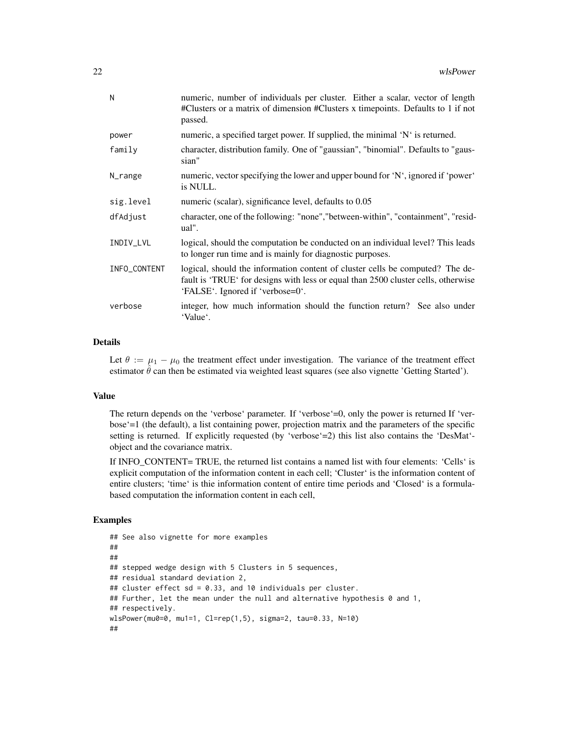| N            | numeric, number of individuals per cluster. Either a scalar, vector of length<br>#Clusters or a matrix of dimension #Clusters x timepoints. Defaults to 1 if not<br>passed.                            |
|--------------|--------------------------------------------------------------------------------------------------------------------------------------------------------------------------------------------------------|
| power        | numeric, a specified target power. If supplied, the minimal 'N' is returned.                                                                                                                           |
| family       | character, distribution family. One of "gaussian", "binomial". Defaults to "gaus-<br>sian"                                                                                                             |
| N_range      | numeric, vector specifying the lower and upper bound for 'N', ignored if 'power'<br>is NULL.                                                                                                           |
| sig.level    | numeric (scalar), significance level, defaults to 0.05                                                                                                                                                 |
| dfAdjust     | character, one of the following: "none", "between-within", "containment", "resid-<br>ual".                                                                                                             |
| INDIV_LVL    | logical, should the computation be conducted on an individual level? This leads<br>to longer run time and is mainly for diagnostic purposes.                                                           |
| INFO_CONTENT | logical, should the information content of cluster cells be computed? The de-<br>fault is 'TRUE' for designs with less or equal than 2500 cluster cells, otherwise<br>'FALSE'. Ignored if 'verbose=0'. |
| verbose      | integer, how much information should the function return? See also under<br>'Value'.                                                                                                                   |

# Details

Let  $\theta := \mu_1 - \mu_0$  the treatment effect under investigation. The variance of the treatment effect estimator  $\hat{\theta}$  can then be estimated via weighted least squares (see also vignette 'Getting Started').

#### Value

The return depends on the 'verbose' parameter. If 'verbose'=0, only the power is returned If 'verbose'=1 (the default), a list containing power, projection matrix and the parameters of the specific setting is returned. If explicitly requested (by 'verbose'=2) this list also contains the 'DesMat'object and the covariance matrix.

If INFO\_CONTENT= TRUE, the returned list contains a named list with four elements: 'Cells' is explicit computation of the information content in each cell; 'Cluster' is the information content of entire clusters; 'time' is thie information content of entire time periods and 'Closed' is a formulabased computation the information content in each cell,

# Examples

```
## See also vignette for more examples
##
##
## stepped wedge design with 5 Clusters in 5 sequences,
## residual standard deviation 2,
## cluster effect sd = 0.33, and 10 individuals per cluster.
## Further, let the mean under the null and alternative hypothesis 0 and 1,
## respectively.
wlsPower(mu0=0, mu1=1, Cl=rep(1,5), sigma=2, tau=0.33, N=10)
##
```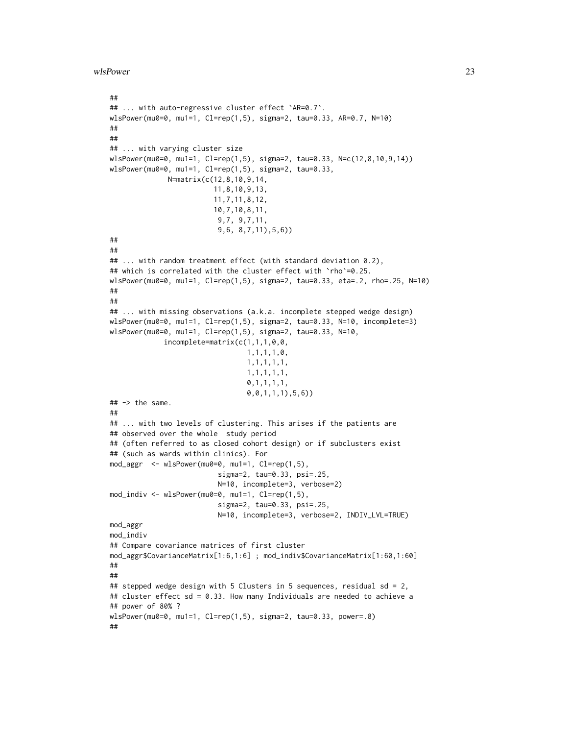wlsPower 23

```
##
## ... with auto-regressive cluster effect `AR=0.7`.
wlsPower(mu0=0, mu1=1, Cl=rep(1,5), sigma=2, tau=0.33, AR=0.7, N=10)
##
##
## ... with varying cluster size
wlsPower(mu0=0, mu1=1, Cl=rep(1,5), sigma=2, tau=0.33, N=c(12,8,10,9,14))
wlsPower(mu0=0, mu1=1, Cl=rep(1,5), sigma=2, tau=0.33,
             N=matrix(c(12,8,10,9,14,
                         11,8,10,9,13,
                         11,7,11,8,12,
                         10,7,10,8,11,
                          9,7, 9,7,11,
                          9,6, 8,7,11),5,6))
##
##
## ... with random treatment effect (with standard deviation 0.2),
## which is correlated with the cluster effect with `rho`=0.25.
wlsPower(mu0=0, mu1=1, Cl=rep(1,5), sigma=2, tau=0.33, eta=.2, rho=.25, N=10)
##
##
## ... with missing observations (a.k.a. incomplete stepped wedge design)
wlsPower(mu0=0, mu1=1, Cl=rep(1,5), sigma=2, tau=0.33, N=10, incomplete=3)
wlsPower(mu0=0, mu1=1, Cl=rep(1,5), sigma=2, tau=0.33, N=10,
             incomplete=matrix(c(1,1,1,0,0,
                                 1,1,1,1,0,
                                 1,1,1,1,1,
                                 1,1,1,1,1,
                                 0,1,1,1,1,
                                 0,0,1,1,1),5,6))
## -> the same.
##
## ... with two levels of clustering. This arises if the patients are
## observed over the whole study period
## (often referred to as closed cohort design) or if subclusters exist
## (such as wards within clinics). For
mod_aggr <- wlsPower(mu0=0, mu1=1, Cl=rep(1,5),
                          sigma=2, tau=0.33, psi=.25,
                          N=10, incomplete=3, verbose=2)
mod_indiv <- wlsPower(mu0=0, mu1=1, Cl=rep(1,5),
                          sigma=2, tau=0.33, psi=.25,
                          N=10, incomplete=3, verbose=2, INDIV_LVL=TRUE)
mod_aggr
mod_indiv
## Compare covariance matrices of first cluster
mod_aggr$CovarianceMatrix[1:6,1:6] ; mod_indiv$CovarianceMatrix[1:60,1:60]
##
##
## stepped wedge design with 5 Clusters in 5 sequences, residual sd = 2,
## cluster effect sd = 0.33. How many Individuals are needed to achieve a
## power of 80% ?
wlsPower(mu0=0, mu1=1, Cl=rep(1,5), sigma=2, tau=0.33, power=.8)
##
```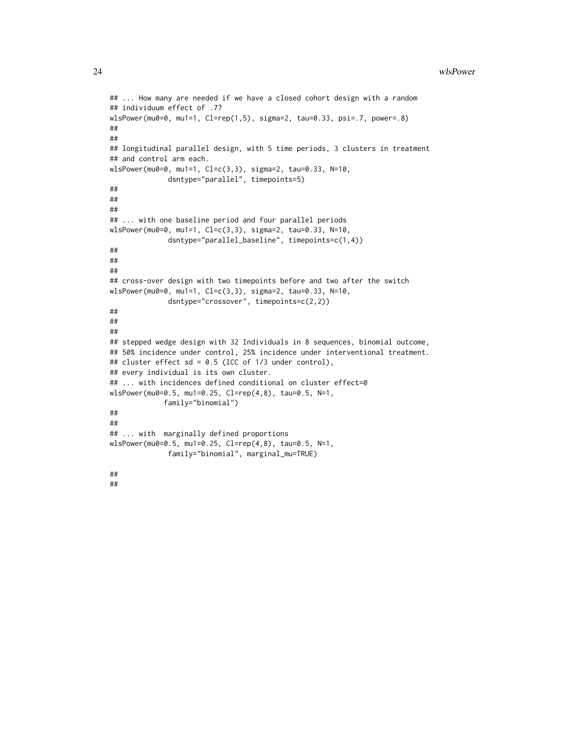```
## ... How many are needed if we have a closed cohort design with a random
## individuum effect of .7?
wlsPower(mu0=0, mu1=1, Cl=rep(1,5), sigma=2, tau=0.33, psi=.7, power=.8)
##
##
## longitudinal parallel design, with 5 time periods, 3 clusters in treatment
## and control arm each.
wlsPower(mu0=0, mu1=1, Cl=c(3,3), sigma=2, tau=0.33, N=10,
             dsntype="parallel", timepoints=5)
##
##
##
## ... with one baseline period and four parallel periods
wlsPower(mu0=0, mu1=1, Cl=c(3,3), sigma=2, tau=0.33, N=10,
              dsntype="parallel_baseline", timepoints=c(1,4))
##
##
##
## cross-over design with two timepoints before and two after the switch
wlsPower(mu0=0, mu1=1, Cl=c(3,3), sigma=2, tau=0.33, N=10,
             dsntype="crossover", timepoints=c(2,2))
##
##
##
## stepped wedge design with 32 Individuals in 8 sequences, binomial outcome,
## 50% incidence under control, 25% incidence under interventional treatment.
## cluster effect sd = 0.5 (ICC of 1/3 under control),
## every individual is its own cluster.
## ... with incidences defined conditional on cluster effect=0
wlsPower(mu0=0.5, mu1=0.25, Cl=rep(4,8), tau=0.5, N=1,
             family="binomial")
##
##
## ... with marginally defined proportions
wlsPower(mu0=0.5, mu1=0.25, Cl=rep(4,8), tau=0.5, N=1,
              family="binomial", marginal_mu=TRUE)
##
```
##